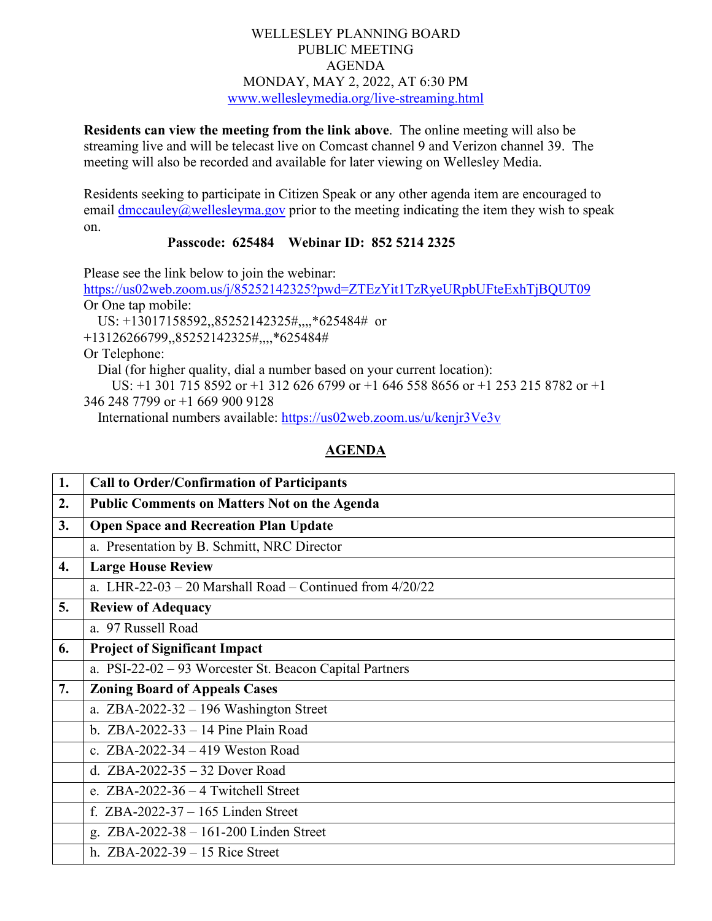## WELLESLEY PLANNING BOARD PUBLIC MEETING AGENDA MONDAY, MAY 2, 2022, AT 6:30 PM [www.wellesleymedia.org/live-streaming.html](http://www.wellesleymedia.org/live-streaming.html)

**Residents can view the meeting from the link above**. The online meeting will also be streaming live and will be telecast live on Comcast channel 9 and Verizon channel 39. The meeting will also be recorded and available for later viewing on Wellesley Media.

Residents seeking to participate in Citizen Speak or any other agenda item are encouraged to email  $\frac{dmcauley}{a}$  wellesleyma.gov prior to the meeting indicating the item they wish to speak on.

## **Passcode: 625484 Webinar ID: 852 5214 2325**

Please see the link below to join the webinar:

<https://us02web.zoom.us/j/85252142325?pwd=ZTEzYit1TzRyeURpbUFteExhTjBQUT09> Or One tap mobile: US: +13017158592,,85252142325#,,,,\*625484# or

+13126266799,,85252142325#,,,,\*625484#

Or Telephone:

Dial (for higher quality, dial a number based on your current location):

US: +1 301 715 8592 or +1 312 626 6799 or +1 646 558 8656 or +1 253 215 8782 or +1

346 248 7799 or +1 669 900 9128

International numbers available:<https://us02web.zoom.us/u/kenjr3Ve3v>

## **AGENDA**

| 1. | <b>Call to Order/Confirmation of Participants</b>          |  |  |
|----|------------------------------------------------------------|--|--|
| 2. | <b>Public Comments on Matters Not on the Agenda</b>        |  |  |
| 3. | <b>Open Space and Recreation Plan Update</b>               |  |  |
|    | a. Presentation by B. Schmitt, NRC Director                |  |  |
| 4. | <b>Large House Review</b>                                  |  |  |
|    | a. LHR-22-03 – 20 Marshall Road – Continued from $4/20/22$ |  |  |
| 5. | <b>Review of Adequacy</b>                                  |  |  |
|    | a. 97 Russell Road                                         |  |  |
| 6. | <b>Project of Significant Impact</b>                       |  |  |
|    | a. PSI-22-02 – 93 Worcester St. Beacon Capital Partners    |  |  |
| 7. | <b>Zoning Board of Appeals Cases</b>                       |  |  |
|    | a. $ZBA-2022-32-196$ Washington Street                     |  |  |
|    | b. $ZBA-2022-33-14$ Pine Plain Road                        |  |  |
|    | c. ZBA-2022-34 $-$ 419 Weston Road                         |  |  |
|    | d. ZBA-2022-35 $-$ 32 Dover Road                           |  |  |
|    | e. $ZBA-2022-36-4$ Twitchell Street                        |  |  |
|    | f. $ZBA-2022-37-165$ Linden Street                         |  |  |
|    | g. $ZBA-2022-38-161-200$ Linden Street                     |  |  |
|    | h. $ZBA-2022-39-15$ Rice Street                            |  |  |